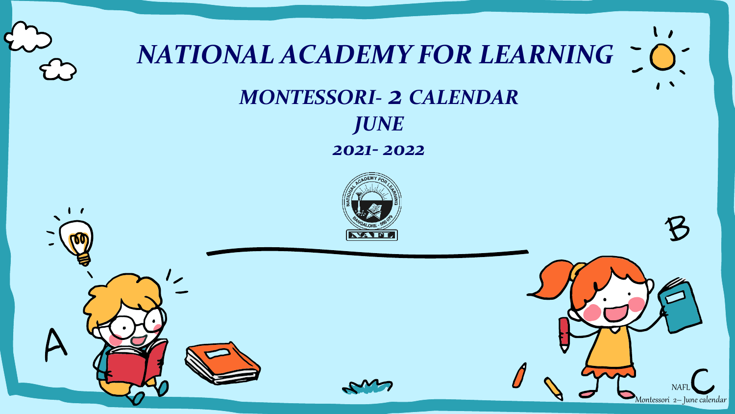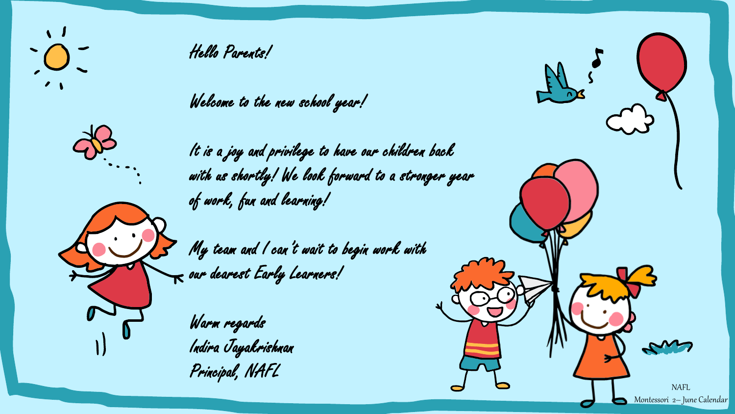

Hello Parents!

## Welcome to the new school year!

It is a joy and privilege to have our children back with us shortly! We look forward to a stronger year of work, fun and learning!

My team and I can't wait to begin work with  $\bm{\kappa}$  our dearest Early Learners!

Warm regards Indira Jayakrishnan Principal, NAFL

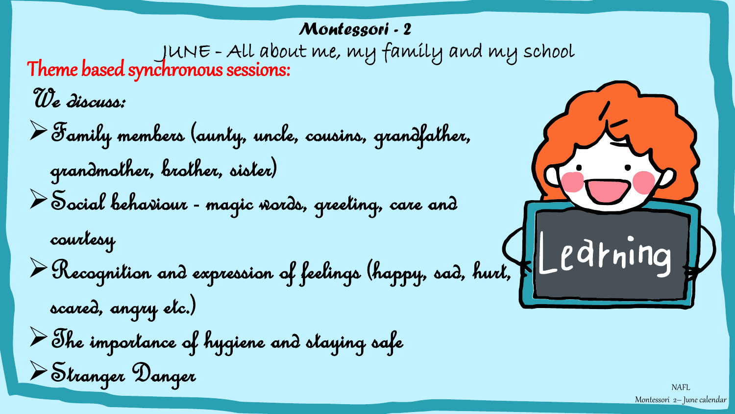## *Montessori - 2*

JUNE - All about me, my family and my school Theme based synchronous sessions:

We discuss:

➢Family members (aunty, uncle, cousins, grandfather, grandmother, brother, sister)

➢Social behaviour - magic words, greeting, care and

courtesy

➢Recognition and expression of feelings (happy, sad, hurt,

scared, angry etc.)

➢The importance of hygiene and staying safe

➢Stranger Danger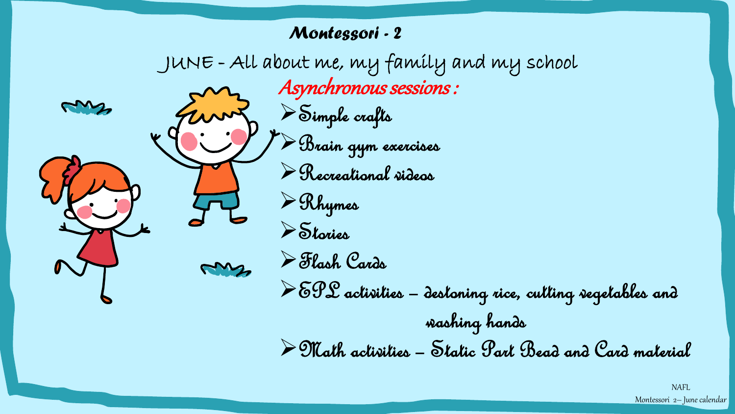#### *Montessori - 2*

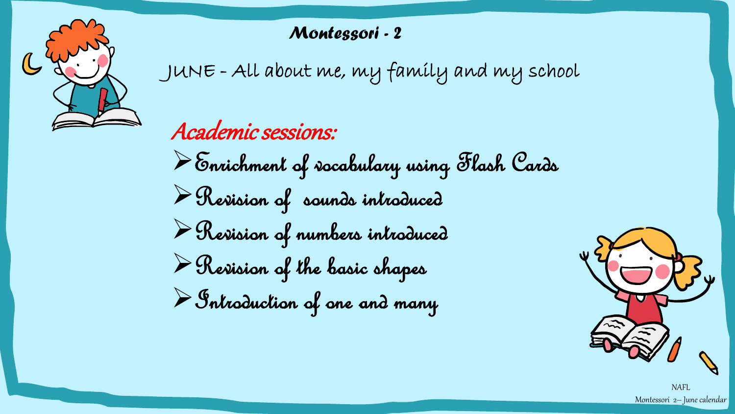

## *Montessori - 2*

JUNE - All about me, my family and my school

# Academic sessions:

➢Enrichment of vocabulary using Flash Cards ➢Revision of sounds introduced ➢Revision of numbers introduced  $\triangleright$  Herision of the basic shapes ➢Introduction of one and many



NAFL Montessori 2– June calendar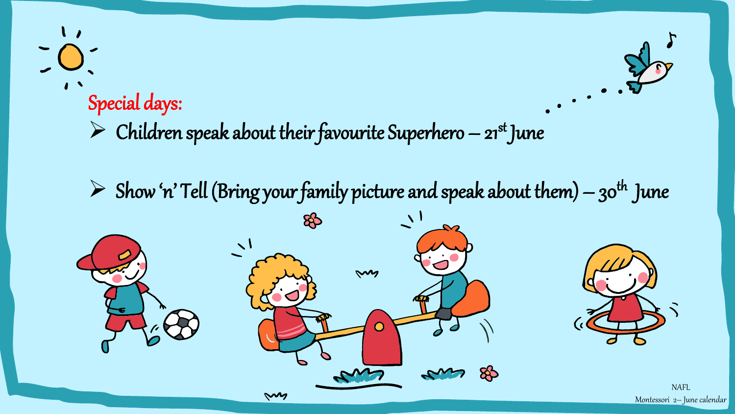

 $\triangleright$  Show 'n' Tell (Bring your family picture and speak about them) – 30<sup>th</sup> June